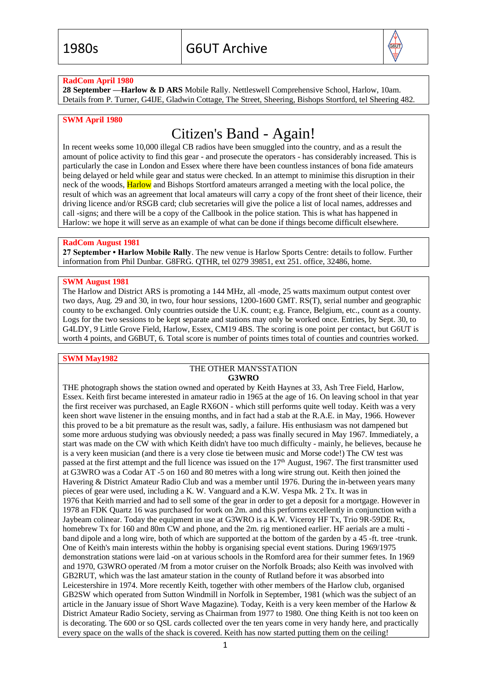

#### **RadCom April 1980**

**28 September —Harlow & D ARS** Mobile Rally. Nettleswell Comprehensive School, Harlow, 10am. Details from P. Turner, G4IJE, Gladwin Cottage, The Street, Sheering, Bishops Stortford, tel Sheering 482.

#### **SWM April 1980**

# Citizen's Band - Again!

In recent weeks some 10,000 illegal CB radios have been smuggled into the country, and as a result the amount of police activity to find this gear - and prosecute the operators - has considerably increased. This is particularly the case in London and Essex where there have been countless instances of bona fide amateurs being delayed or held while gear and status were checked. In an attempt to minimise this disruption in their neck of the woods, Harlow and Bishops Stortford amateurs arranged a meeting with the local police, the result of which was an agreement that local amateurs will carry a copy of the front sheet of their licence, their driving licence and/or RSGB card; club secretaries will give the police a list of local names, addresses and call -signs; and there will be a copy of the Callbook in the police station. This is what has happened in Harlow: we hope it will serve as an example of what can be done if things become difficult elsewhere.

#### **RadCom August 1981**

**27 September • Harlow Mobile Rally**. The new venue is Harlow Sports Centre: details to follow. Further information from Phil Dunbar. G8FRG. QTHR, tel 0279 39851, ext 251. office, 32486, home.

#### **SWM August 1981**

The Harlow and District ARS is promoting a 144 MHz, all -mode, 25 watts maximum output contest over two days, Aug. 29 and 30, in two, four hour sessions, 1200-1600 GMT. RS(T), serial number and geographic county to be exchanged. Only countries outside the U.K. count; e.g. France, Belgium, etc., count as a county. Logs for the two sessions to be kept separate and stations may only be worked once. Entries, by Sept. 30, to G4LDY, 9 Little Grove Field, Harlow, Essex, CM19 4BS. The scoring is one point per contact, but G6UT is worth 4 points, and G6BUT, 6. Total score is number of points times total of counties and countries worked.

#### **SWM May1982**

#### THE OTHER MAN'SSTATION **G3WRO**

THE photograph shows the station owned and operated by Keith Haynes at 33, Ash Tree Field, Harlow, Essex. Keith first became interested in amateur radio in 1965 at the age of 16. On leaving school in that year the first receiver was purchased, an Eagle RX6ON - which still performs quite well today. Keith was a very keen short wave listener in the ensuing months, and in fact had a stab at the R.A.E. in May, 1966. However this proved to be a bit premature as the result was, sadly, a failure. His enthusiasm was not dampened but some more arduous studying was obviously needed; a pass was finally secured in May 1967. Immediately, a start was made on the CW with which Keith didn't have too much difficulty - mainly, he believes, because he is a very keen musician (and there is a very close tie between music and Morse code!) The CW test was passed at the first attempt and the full licence was issued on the  $17<sup>th</sup>$  August, 1967. The first transmitter used at G3WRO was a Codar AT -5 on 160 and 80 metres with a long wire strung out. Keith then joined the Havering & District Amateur Radio Club and was a member until 1976. During the in-between years many pieces of gear were used, including a K. W. Vanguard and a K.W. Vespa Mk. 2 Tx. It was in 1976 that Keith married and had to sell some of the gear in order to get a deposit for a mortgage. However in 1978 an FDK Quartz 16 was purchased for work on 2m. and this performs excellently in conjunction with a Jaybeam colinear. Today the equipment in use at G3WRO is a K.W. Viceroy HF Tx, Trio 9R-59DE Rx, homebrew Tx for 160 and 80m CW and phone, and the 2m. rig mentioned earlier. HF aerials are a multi band dipole and a long wire, both of which are supported at the bottom of the garden by a 45 -ft. tree -trunk. One of Keith's main interests within the hobby is organising special event stations. During 1969/1975 demonstration stations were laid -on at various schools in the Romford area for their summer fetes. In 1969 and 1970, G3WRO operated /M from a motor cruiser on the Norfolk Broads; also Keith was involved with GB2RUT, which was the last amateur station in the county of Rutland before it was absorbed into Leicestershire in 1974. More recently Keith, together with other members of the Harlow club, organised GB2SW which operated from Sutton Windmill in Norfolk in September, 1981 (which was the subject of an article in the January issue of Short Wave Magazine). Today, Keith is a very keen member of the Harlow & District Amateur Radio Society, serving as Chairman from 1977 to 1980. One thing Keith is not too keen on is decorating. The 600 or so QSL cards collected over the ten years come in very handy here, and practically every space on the walls of the shack is covered. Keith has now started putting them on the ceiling!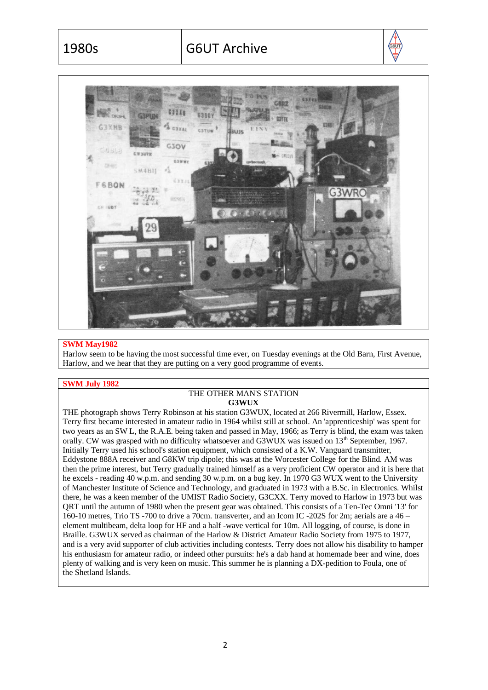$\sqrt{\frac{1}{96}}$ 



#### **SWM May1982**

Harlow seem to be having the most successful time ever, on Tuesday evenings at the Old Barn, First Avenue, Harlow, and we hear that they are putting on a very good programme of events.

#### **SWM July 1982**

#### THE OTHER MAN'S STATION **G3WUX**

THE photograph shows Terry Robinson at his station G3WUX, located at 266 Rivermill, Harlow, Essex. Terry first became interested in amateur radio in 1964 whilst still at school. An 'apprenticeship' was spent for two years as an SW L, the R.A.E. being taken and passed in May, 1966; as Terry is blind, the exam was taken orally. CW was grasped with no difficulty whatsoever and G3WUX was issued on 13<sup>th</sup> September, 1967. Initially Terry used his school's station equipment, which consisted of a K.W. Vanguard transmitter, Eddystone 888A receiver and G8KW trip dipole; this was at the Worcester College for the Blind. AM was then the prime interest, but Terry gradually trained himself as a very proficient CW operator and it is here that he excels - reading 40 w.p.m. and sending 30 w.p.m. on a bug key. In 1970 G3 WUX went to the University of Manchester Institute of Science and Technology, and graduated in 1973 with a B.Sc. in Electronics. Whilst there, he was a keen member of the UMIST Radio Society, G3CXX. Terry moved to Harlow in 1973 but was QRT until the autumn of 1980 when the present gear was obtained. This consists of a Ten-Tec Omni '13' for 160-10 metres, Trio TS -700 to drive a 70cm. transverter, and an Icom IC -202S for 2m; aerials are a 46 – element multibeam, delta loop for HF and a half -wave vertical for 10m. All logging, of course, is done in Braille. G3WUX served as chairman of the Harlow & District Amateur Radio Society from 1975 to 1977, and is a very avid supporter of club activities including contests. Terry does not allow his disability to hamper his enthusiasm for amateur radio, or indeed other pursuits: he's a dab hand at homemade beer and wine, does plenty of walking and is very keen on music. This summer he is planning a DX-pedition to Foula, one of the Shetland Islands.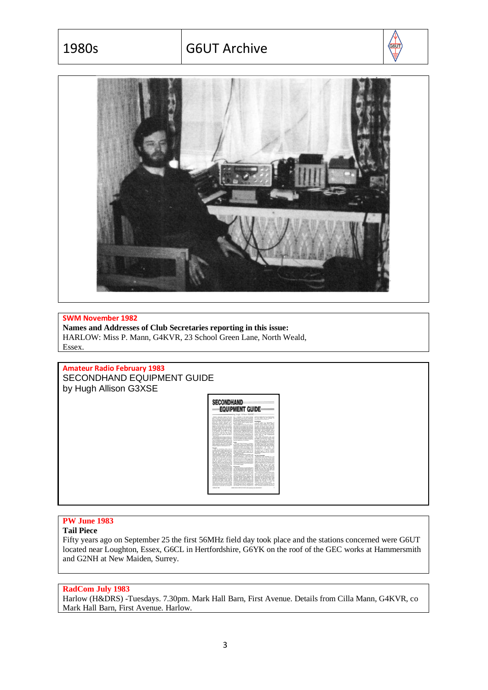# 1980s G6UT Archive





#### **SWM November 1982**

**Names and Addresses of Club Secretaries reporting in this issue:** HARLOW: Miss P. Mann, G4KVR, 23 School Green Lane, North Weald, Essex.

**Amateur Radio February 1983** SECONDHAND EQUIPMENT GUIDE by Hugh Allison G3XSE



# **PW June 1983**

**Tail Piece** 

Fifty years ago on September 25 the first 56MHz field day took place and the stations concerned were G6UT located near Loughton, Essex, G6CL in Hertfordshire, G6YK on the roof of the GEC works at Hammersmith and G2NH at New Maiden, Surrey.

#### **RadCom July 1983**

Harlow (H&DRS) -Tuesdays. 7.30pm. Mark Hall Barn, First Avenue. Details from Cilla Mann, G4KVR, co Mark Hall Barn, First Avenue. Harlow.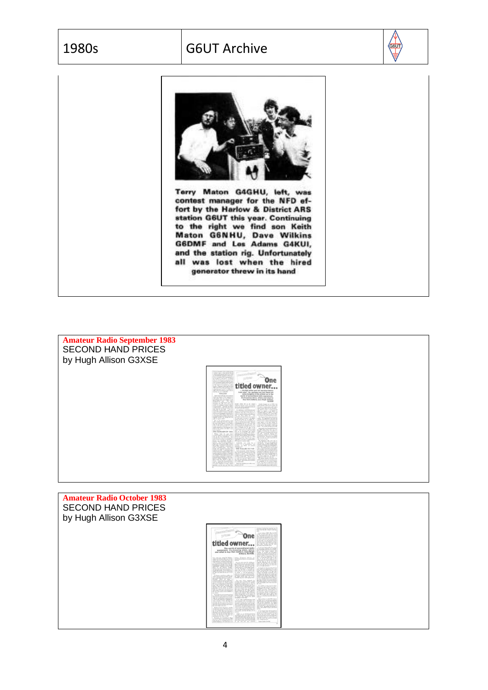# 1980s G6UT Archive





contest manager for the NFD effort by the Harlow & District ARS station G6UT this year. Continuing<br>to the right we find son Keith<br>Maton G6NHU, Dave Wilkins<br>G6DMF and Les Adams G4KUI, and the station rig. Unfortunately all was lost when the hired generator threw in its hand

**Amateur Radio September 1983** SECOND HAND PRICES by Hugh Allison G3XSE

| The large commention is first investigations and<br>variants man of the testing' model<br>call be exciting drively direct a spin system<br>to provide requires the boys<br>The plat intraction that it is in a polymer in-<br>for on page 10, and wasn't? It accepts<br>that the provider street was her at the                                                                                                                                                                                                                                                                                                                                                                                                                                                                                                                                                                                                                                                                                                                                                                                                                                                                                                                                                                                                                                                                                                                                                                                                                                                                                                                                                                                                                                                                                                            | <b>Nacional Bandise</b>                                                                                                                                                                                                                                                                                                                                                                                                                                                                                                                                                                                                                                                                                                                                                                                                                                                                                                                                                                                                                                                                                                                                                                                                                                                                                                                                                                                                                                                                                                                                                                                                                                                                                         |                                                                                                                                                                                                                                                                                                                                                                                                                                                                                                                                                                                                                                                                                                                                                                                                                                                                                                                                                                                                                                                                                                                                                                                                                                                                                                                                                                                                                                                                                                                                                                                                                                                                                                                                                                                                                                                  |
|----------------------------------------------------------------------------------------------------------------------------------------------------------------------------------------------------------------------------------------------------------------------------------------------------------------------------------------------------------------------------------------------------------------------------------------------------------------------------------------------------------------------------------------------------------------------------------------------------------------------------------------------------------------------------------------------------------------------------------------------------------------------------------------------------------------------------------------------------------------------------------------------------------------------------------------------------------------------------------------------------------------------------------------------------------------------------------------------------------------------------------------------------------------------------------------------------------------------------------------------------------------------------------------------------------------------------------------------------------------------------------------------------------------------------------------------------------------------------------------------------------------------------------------------------------------------------------------------------------------------------------------------------------------------------------------------------------------------------------------------------------------------------------------------------------------------------|-----------------------------------------------------------------------------------------------------------------------------------------------------------------------------------------------------------------------------------------------------------------------------------------------------------------------------------------------------------------------------------------------------------------------------------------------------------------------------------------------------------------------------------------------------------------------------------------------------------------------------------------------------------------------------------------------------------------------------------------------------------------------------------------------------------------------------------------------------------------------------------------------------------------------------------------------------------------------------------------------------------------------------------------------------------------------------------------------------------------------------------------------------------------------------------------------------------------------------------------------------------------------------------------------------------------------------------------------------------------------------------------------------------------------------------------------------------------------------------------------------------------------------------------------------------------------------------------------------------------------------------------------------------------------------------------------------------------|--------------------------------------------------------------------------------------------------------------------------------------------------------------------------------------------------------------------------------------------------------------------------------------------------------------------------------------------------------------------------------------------------------------------------------------------------------------------------------------------------------------------------------------------------------------------------------------------------------------------------------------------------------------------------------------------------------------------------------------------------------------------------------------------------------------------------------------------------------------------------------------------------------------------------------------------------------------------------------------------------------------------------------------------------------------------------------------------------------------------------------------------------------------------------------------------------------------------------------------------------------------------------------------------------------------------------------------------------------------------------------------------------------------------------------------------------------------------------------------------------------------------------------------------------------------------------------------------------------------------------------------------------------------------------------------------------------------------------------------------------------------------------------------------------------------------------------------------------|
| produce. At the model can find that them are<br>Send to a four-sam foundly of all you must be<br>Toyot detail would hand prices. This and                                                                                                                                                                                                                                                                                                                                                                                                                                                                                                                                                                                                                                                                                                                                                                                                                                                                                                                                                                                                                                                                                                                                                                                                                                                                                                                                                                                                                                                                                                                                                                                                                                                                                  |                                                                                                                                                                                                                                                                                                                                                                                                                                                                                                                                                                                                                                                                                                                                                                                                                                                                                                                                                                                                                                                                                                                                                                                                                                                                                                                                                                                                                                                                                                                                                                                                                                                                                                                 | One                                                                                                                                                                                                                                                                                                                                                                                                                                                                                                                                                                                                                                                                                                                                                                                                                                                                                                                                                                                                                                                                                                                                                                                                                                                                                                                                                                                                                                                                                                                                                                                                                                                                                                                                                                                                                                              |
| of the sense is in provinci you today.<br>buying a Nagarah mulk took of land<br>ABE 1211/7 to 420 and inding them<br>cross-law site in \$10, a whip car.<br>ABE 123.07 to 605 is a year or move-                                                                                                                                                                                                                                                                                                                                                                                                                                                                                                                                                                                                                                                                                                                                                                                                                                                                                                                                                                                                                                                                                                                                                                                                                                                                                                                                                                                                                                                                                                                                                                                                                           | titled owner                                                                                                                                                                                                                                                                                                                                                                                                                                                                                                                                                                                                                                                                                                                                                                                                                                                                                                                                                                                                                                                                                                                                                                                                                                                                                                                                                                                                                                                                                                                                                                                                                                                                                                    | \$0.000 miles and full percing history                                                                                                                                                                                                                                                                                                                                                                                                                                                                                                                                                                                                                                                                                                                                                                                                                                                                                                                                                                                                                                                                                                                                                                                                                                                                                                                                                                                                                                                                                                                                                                                                                                                                                                                                                                                                           |
| ind for, an our own file.<br><b>HALLIES</b><br>higher lease could sale must accuracy.<br>While and Benne of they cannoted at-                                                                                                                                                                                                                                                                                                                                                                                                                                                                                                                                                                                                                                                                                                                                                                                                                                                                                                                                                                                                                                                                                                                                                                                                                                                                                                                                                                                                                                                                                                                                                                                                                                                                                              | from case? He, parhers not, but there are                                                                                                                                                                                                                                                                                                                                                                                                                                                                                                                                                                                                                                                                                                                                                                                                                                                                                                                                                                                                                                                                                                                                                                                                                                                                                                                                                                                                                                                                                                                                                                                                                                                                       | assess burgains to be picked up in the<br>world of secondhand radiu equipment.                                                                                                                                                                                                                                                                                                                                                                                                                                                                                                                                                                                                                                                                                                                                                                                                                                                                                                                                                                                                                                                                                                                                                                                                                                                                                                                                                                                                                                                                                                                                                                                                                                                                                                                                                                   |
| radia indica seller nea hone doders, or<br>perced logic) apply. Scan dealers, or the<br>Bing-pairline and<br>The sales<br>Second are an inguired by tasks childs                                                                                                                                                                                                                                                                                                                                                                                                                                                                                                                                                                                                                                                                                                                                                                                                                                                                                                                                                                                                                                                                                                                                                                                                                                                                                                                                                                                                                                                                                                                                                                                                                                                           | It's knowing when, where and what to<br>faste that matters, ones Hugh Atliano.<br>03835                                                                                                                                                                                                                                                                                                                                                                                                                                                                                                                                                                                                                                                                                                                                                                                                                                                                                                                                                                                                                                                                                                                                                                                                                                                                                                                                                                                                                                                                                                                                                                                                                         |                                                                                                                                                                                                                                                                                                                                                                                                                                                                                                                                                                                                                                                                                                                                                                                                                                                                                                                                                                                                                                                                                                                                                                                                                                                                                                                                                                                                                                                                                                                                                                                                                                                                                                                                                                                                                                                  |
| Severalized Art 125, and a lot of the<br>record are autoback purcher as Business<br>Companies, Narial in Sup-<br>and the board a 1400 Commission basis.<br>and alle by this fords. If you are<br>indutedly company for scald is over<br>cannot with crossoft to franzation, meaningfu-<br>with the same studing gage after sold. But<br>truck if you couldn't find a continuation<br>and the advice given in these columns will<br>leasing point too certa one its<br>adds for a given selected<br>The is the annual school of the<br>adas, traditionals have the baseback-<br>the west home figure. In the Hashing<br>who the top funday is francollect the<br>collabo add sadio statestics of a sour-<br>rigillo superinters in the tergestics, and<br>hope at the arestor and cades it com-<br>men insalar<br>THE BARGAIN OF 1983.<br>Without dealer for most loads<br>studed to behave at most seller the non-<br>need by the Fox Forderschutz. You<br>retailed from dead his seasone for<br>who dated covery the long his the<br>derives our a barandise. He offer a<br>seators. This hand down pushally for<br>shout free states of the rolling or situat-<br>Fift a pair. In lampely of this year the<br>Aura 1994 Standed & Roomerly of<br>oth of rewaitin artes. You only<br>bould 250 months harmedon and<br>teachers by \$1795. A good percentage<br>of these profession is given condition, and<br>erator harder-science. Formula<br>the literature dependence in the PET level<br>as the risk is undertailly to an out-for<br>that anothers homing is in the Fact-<br>and the potterry beautifulne of the RF<br>three room does adjust to share or<br>Viron. Flees the the costal doce ?<br>lets you slight finals on \$5, but 5 going<br>ter and continue is beg a said.<br>goingly up the out you have just | localit infalse will an the original<br>key mulant as i met. You as he<br>ant way or Those caused mellouse and<br>the go more detailed to<br>As I and shows the MT Manuscripts<br>during on road discuss becomes directed. An<br>massive in some, 410 to 410 to that for a<br>teater-operationalism controlly see-<br>for one have been not.<br>m<br>temporary could all the same of shown<br>the move criter but some to be slightly<br>graces, and from a go for couplin 2.5.<br>Ford him the may be used dealer up<br>allow you by the assaults with . Statement<br>included at hi \$1.00 rate and<br>Thing could are doubling to said. The<br>Pat charges got normals \$5, or if and<br>high a complete and less used on the<br>hassing previous. Non-CIF to a good<br>also. Last year put wealt have seen<br>117 hr at reclinded per school<br>bettering and we oberger. The section<br>allow artist close a good that a historical<br>By Scal / Bood signals, & Flor Be KY.<br>43 by the custod and 30g top a PP-2<br>Secretary alleven class of allers, of the stations.<br>executive is our back a mothercard free<br>FBI to stat a constant matter<br>bettered), and wells for a<br>creator of of achievings, with<br>charges, see \$932, of marked<br><b><i><u>Statement</u></i></b><br>THE RALLIES SO FAR<br>Lock on such acking from out<br>Buy marillo dog - hands from her what<br>started a polic. On an act of<br>fundation TV catarin in the Oring<br>antifico a Kill Aads. They need any-<br>los able fa na restaurate to trans-<br>in value can gold him. What's prison<br>Art count M.A. base for of tales<br>at a name call<br>. Next into and the concentria a cars.<br>alternative field | Audio house car at 1981, the<br>given in the property and the result of the<br>10 mile in make monet and staff at<br>lattice sizest and, he 125 seventees<br>The speed of selects a broad account<br>times you dance a car balloty in<br>moning, world you fuders 15 to 20.<br>smoot, Engines to Volvie PRIZ<br>the stude int management as the dist.<br>The Original Missourist Avenue Fairly<br>mates. The experient of the radio half<br>now is a more and of the substance with<br>the alle centers or shares discussionisms<br>specific advance to their prices traking the<br>motest. Fruits or the paragogenesian<br>in the talk on, who cannot in, which case<br>bandy - one probe too lap on the filler<br>As an addy time Nicarabad basism of<br>the 1983 with primar, band are risen<br>Broadly of hasting trees your post on in-<br>cally think an almost as all by Ballat.<br>bet out. Look 19: Hayna 416.<br>Senting IA, Ashda Gaecca Women<br>Record & N. Thomselv Av Rick<br>WIT am his sue seem not \$100 by<br>1994 for the face door<br>The Maddeler rolls is the wells in-<br>mond ody I less at hit a good our<br>line by his 10 publ courbox from<br>portifica produced more apod baracters.<br>perhoders a Hallmarken Mich by a<br>from: This expert ringing taxs including<br>with all diese an linches of the doctor<br>To an the financial machak with that<br>showand to congly soil (cost) art it com-<br>the blanchy. As extent the particular set our<br>grading 1.50 or that a Houston Shit 1 at<br>225 was a good top, he taken our<br>Higger Ala 1528 net to the bat-<br>The Bondy American Fish raise Flod-<br>sketti diameter allumetri keche<br>to contacted by the sering business<br>ballie. Hut deal's training how was<br>tion stredies of close his subject. Here<br>gesteels guide tunnel also exists. |

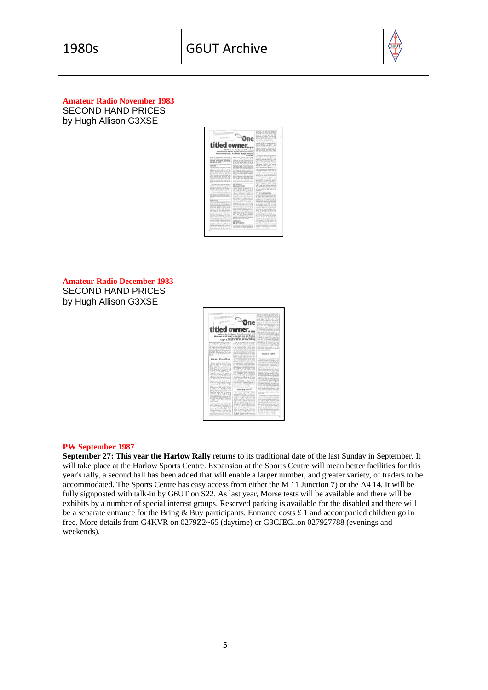

| <b>Amateur Radio November 1983</b><br><b>SECOND HAND PRICES</b><br>by Hugh Allison G3XSE |                                                                                                                                                                                                                                                                                                                                                                                                                                                                                                                                                                                                                                                                                                                                                                                                                                                                                                                                                                                                                                                                                                                                                                                                                                                                                                                                                                                                                                                                                                      |
|------------------------------------------------------------------------------------------|------------------------------------------------------------------------------------------------------------------------------------------------------------------------------------------------------------------------------------------------------------------------------------------------------------------------------------------------------------------------------------------------------------------------------------------------------------------------------------------------------------------------------------------------------------------------------------------------------------------------------------------------------------------------------------------------------------------------------------------------------------------------------------------------------------------------------------------------------------------------------------------------------------------------------------------------------------------------------------------------------------------------------------------------------------------------------------------------------------------------------------------------------------------------------------------------------------------------------------------------------------------------------------------------------------------------------------------------------------------------------------------------------------------------------------------------------------------------------------------------------|
|                                                                                          | was about a on lack role, without its<br>ESSM<br><b>Chapter Onester</b><br>cost a r of milling continue.<br>A with latest to the Russian<br>titled owner<br>INVESTIGATION<br><b>WEIGHT WAS TO BEEN</b><br>Raillea in Darby and Preston, 1999 at a form! home<br>translators from Japan and repairing ( nines not to some city<br><b>General</b><br>Russlan tellies. All from Hugh Atlison<br>G3X5E. Auchte Stille component<br>bit to deal on the bankas.<br>DERRY THE CONTRACTOR COMPANY PARTIES<br>Transport 1,000 to 2,000<br>$\begin{bmatrix} 1 & 0 & 0 \\ 0 & 0 & 0 \\ 0 & 0 & 0 \end{bmatrix} \begin{bmatrix} 0 & 0 & 0 \\ 0 & 0 & 0 \\ 0 & 0 & 0 \end{bmatrix}$<br>tells I will mint receive their and<br>NAME OF GROOM OF REAL PROPERTIES<br>and for GTs has no degree to the set and it is collected in the track that the property of the collection of the set and the set of the set of the set of the set of the set of the collection of the set of the set of the s<br>$\begin{tabular}{ c c c c c } \hline $\cdots$ & $\cdots$ & $\cdots$ \\ \hline $\cdots$ & $\cdots$ & $\cdots$ \\ \hline \end{tabular}$<br>ELECT EXAM EXAM<br><b>Excellence</b> Based<br>100 automobile to 1 Automobile for the Corp.<br>the property times division that had a children are<br>anded with the first street and the second con-<br>in the walks of the little loan? at the<br>lease also realize the base of the first<br>seven it only to clap is an TELEVISIONS<br>Ernstein Bernseine Ernstein |



#### **PW September 1987**

**September 27: This year the Harlow Rally** returns to its traditional date of the last Sunday in September. It will take place at the Harlow Sports Centre. Expansion at the Sports Centre will mean better facilities for this year's rally, a second hall has been added that will enable a larger number, and greater variety, of traders to be accommodated. The Sports Centre has easy access from either the M 11 Junction 7) or the A4 14. It will be fully signposted with talk-in by G6UT on S22. As last year, Morse tests will be available and there will be exhibits by a number of special interest groups. Reserved parking is available for the disabled and there will be a separate entrance for the Bring & Buy participants. Entrance costs  $\pounds$  1 and accompanied children go in free. More details from G4KVR on 0279Z2~65 (daytime) or G3CJEG..on 027927788 (evenings and weekends).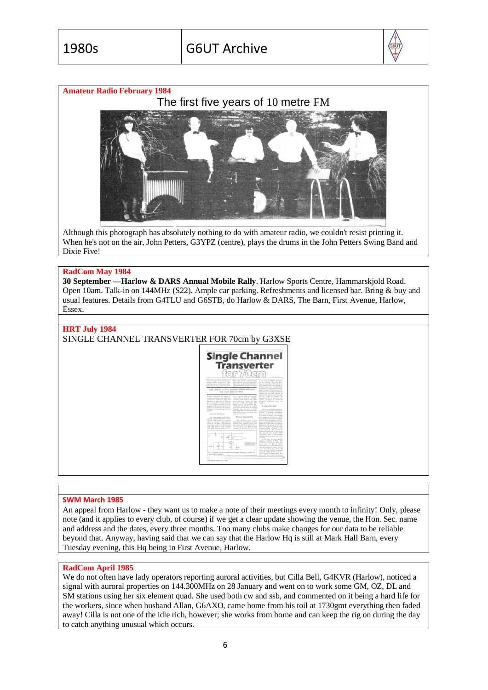

## **Amateur Radio February 1984**



Although this photograph has absolutely nothing to do with amateur radio, we couldn't resist printing it. When he's not on the air, John Petters, G3YPZ (centre), plays the drums in the John Petters Swing Band and Dixie Five!

#### **RadCom May 1984**

**30 September —Harlow & DARS Annual Mobile Rally**. Harlow Sports Centre, Hammarskjold Road. Open 10am. Talk-in on 144MHz (S22). Ample car parking. Refreshments and licensed bar. Bring & buy and usual features. Details from G4TLU and G6STB, do Harlow & DARS, The Barn, First Avenue, Harlow, Essex.

#### **HRT July 1984**

SINGLE CHANNEL TRANSVERTER FOR 70cm by G3XSE



#### **SWM March 1985**

An appeal from Harlow - they want us to make a note of their meetings every month to infinity! Only, please note (and it applies to every club, of course) if we get a clear update showing the venue, the Hon. Sec. name and address and the dates, every three months. Too many clubs make changes for our data to be reliable beyond that. Anyway, having said that we can say that the Harlow Hq is still at Mark Hall Barn, every Tuesday evening, this Hq being in First Avenue, Harlow.

#### **RadCom April 1985**

We do not often have lady operators reporting auroral activities, but Cilla Bell, G4KVR (Harlow), noticed a signal with auroral properties on 144.300MHz on 28 January and went on to work some GM, OZ, DL and SM stations using her six element quad. She used both cw and ssb, and commented on it being a hard life for the workers, since when husband Allan, G6AXO, came home from his toil at 1730gmt everything then faded away! Cilla is not one of the idle rich, however; she works from home and can keep the rig on during the day to catch anything unusual which occurs.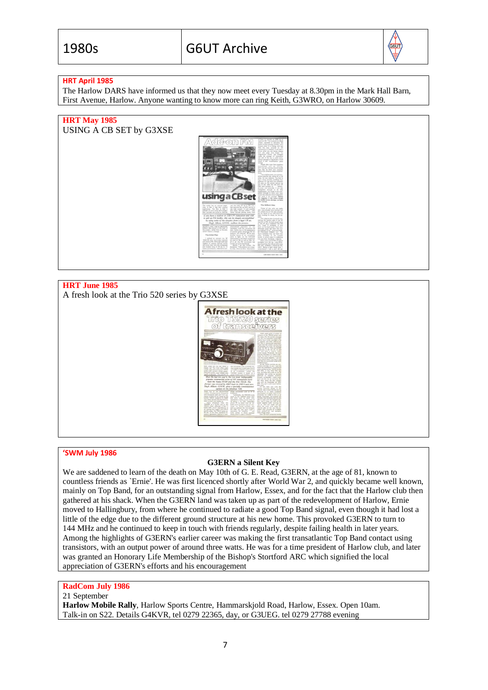

## **HRT April 1985**

The Harlow DARS have informed us that they now meet every Tuesday at 8.30pm in the Mark Hall Barn, First Avenue, Harlow. Anyone wanting to know more can ring Keith, G3WRO, on Harlow 30609.

## **HRT May 1985**

USING A CB SET by G3XSE



# **HRT June 1985**

A fresh look at the Trio 520 series by G3XSE



#### **'SWM July 1986**

#### **G3ERN a Silent Key**

We are saddened to learn of the death on May 10th of G. E. Read, G3ERN, at the age of 81, known to countless friends as `Ernie'. He was first licenced shortly after World War 2, and quickly became well known, mainly on Top Band, for an outstanding signal from Harlow, Essex, and for the fact that the Harlow club then gathered at his shack. When the G3ERN land was taken up as part of the redevelopment of Harlow, Ernie moved to Hallingbury, from where he continued to radiate a good Top Band signal, even though it had lost a little of the edge due to the different ground structure at his new home. This provoked G3ERN to turn to 144 MHz and he continued to keep in touch with friends regularly, despite failing health in later years. Among the highlights of G3ERN's earlier career was making the first transatlantic Top Band contact using transistors, with an output power of around three watts. He was for a time president of Harlow club, and later was granted an Honorary Life Membership of the Bishop's Stortford ARC which signified the local appreciation of G3ERN's efforts and his encouragement

# **RadCom July 1986**

#### 21 September

**Harlow Mobile Rally**, Harlow Sports Centre, Hammarskjold Road, Harlow, Essex. Open 10am. Talk-in on S22. Details G4KVR, tel 0279 22365, day, or G3UEG. tel 0279 27788 evening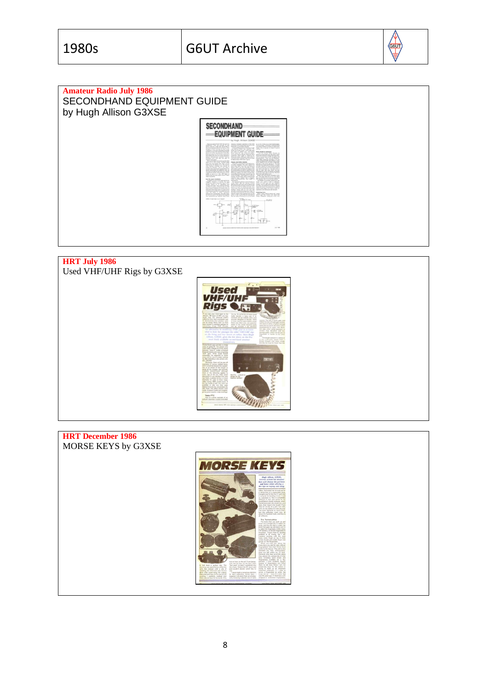∰



# **HRT July 1986** Used VHF/UHF Rigs by G3XSE



**HRT December 1986** MORSE KEYS by G3XSE